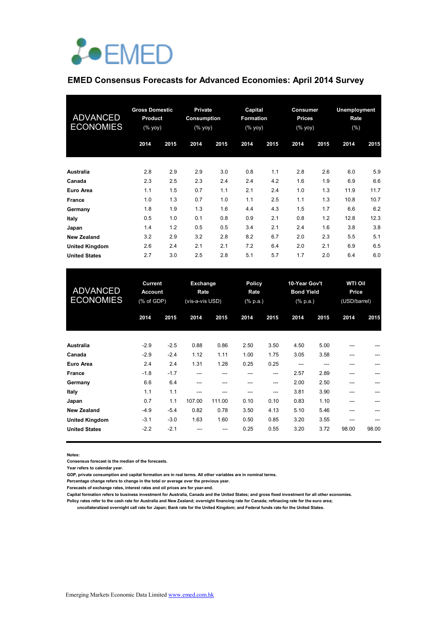

#### **EMED Consensus Forecasts for Advanced Economies: April 2014 Survey**

| <b>ADVANCED</b><br><b>ECONOMIES</b> | <b>Gross Domestic</b><br><b>Product</b><br>$(\%$ yoy) |      | <b>Private</b><br>Consumption<br>(% yoy) |      |      | Capital<br>Formation<br>$(\%$ yoy) |      | <b>Consumer</b><br><b>Prices</b><br>(% yoy) |      | Unemployment<br>Rate<br>(%) |  |
|-------------------------------------|-------------------------------------------------------|------|------------------------------------------|------|------|------------------------------------|------|---------------------------------------------|------|-----------------------------|--|
|                                     | 2014                                                  | 2015 | 2014                                     | 2015 | 2014 | 2015                               | 2014 | 2015                                        | 2014 | 2015                        |  |
| Australia                           | 2.8                                                   | 2.9  | 2.9                                      | 3.0  | 0.8  | 1.1                                | 2.8  | 2.6                                         | 6.0  | 5.9                         |  |
| Canada                              | 2.3                                                   | 2.5  | 2.3                                      | 2.4  | 2.4  | 4.2                                | 1.6  | 1.9                                         | 6.9  | 6.6                         |  |
| Euro Area                           | 1.1                                                   | 1.5  | 0.7                                      | 1.1  | 2.1  | 2.4                                | 1.0  | 1.3                                         | 11.9 | 11.7                        |  |
| France                              | 1.0                                                   | 1.3  | 0.7                                      | 1.0  | 1.1  | 2.5                                | 1.1  | 1.3                                         | 10.8 | 10.7                        |  |
| Germany                             | 1.8                                                   | 1.9  | 1.3                                      | 1.6  | 4.4  | 4.3                                | 1.5  | 1.7                                         | 6.6  | 6.2                         |  |
| Italy                               | 0.5                                                   | 1.0  | 0.1                                      | 0.8  | 0.9  | 2.1                                | 0.8  | 1.2                                         | 12.8 | 12.3                        |  |
| Japan                               | 1.4                                                   | 1.2  | 0.5                                      | 0.5  | 3.4  | 2.1                                | 2.4  | 1.6                                         | 3.8  | 3.8                         |  |
| <b>New Zealand</b>                  | 3.2                                                   | 2.9  | 3.2                                      | 2.8  | 8.2  | 6.7                                | 2.0  | 2.3                                         | 5.5  | 5.1                         |  |
| <b>United Kingdom</b>               | 2.6                                                   | 2.4  | 2.1                                      | 2.1  | 7.2  | 6.4                                | 2.0  | 2.1                                         | 6.9  | 6.5                         |  |
| <b>United States</b>                | 2.7                                                   | 3.0  | 2.5                                      | 2.8  | 5.1  | 5.7                                | 1.7  | 2.0                                         | 6.4  | 6.0                         |  |

| <b>ADVANCED</b><br><b>ECONOMIES</b> | <b>Current</b><br><b>Account</b><br>(% of GDP) |        | Exchange<br>Rate<br>(vis-a-vis USD) |        | <b>Policy</b><br>Rate<br>$(% \mathbf{a})$ (% p.a.) |      | 10-Year Gov't<br><b>Bond Yield</b><br>$(% \mathbb{R}^2)$ (% p.a.) |      | <b>WTI Oil</b><br>Price<br>(USD/barrel) |       |
|-------------------------------------|------------------------------------------------|--------|-------------------------------------|--------|----------------------------------------------------|------|-------------------------------------------------------------------|------|-----------------------------------------|-------|
|                                     | 2014                                           | 2015   | 2014                                | 2015   | 2014                                               | 2015 | 2014                                                              | 2015 | 2014                                    | 2015  |
| Australia                           | $-2.9$                                         | $-2.5$ | 0.88                                | 0.86   | 2.50                                               | 3.50 | 4.50                                                              | 5.00 |                                         |       |
| Canada                              | $-2.9$                                         | $-2.4$ | 1.12                                | 1.11   | 1.00                                               | 1.75 | 3.05                                                              | 3.58 | ---                                     | ---   |
| Euro Area                           | 2.4                                            | 2.4    | 1.31                                | 1.28   | 0.25                                               | 0.25 | ---                                                               | ---  |                                         |       |
| France                              | $-1.8$                                         | $-1.7$ | ---                                 |        |                                                    | ---  | 2.57                                                              | 2.89 |                                         |       |
| Germany                             | 6.6                                            | 6.4    | ---                                 | ---    | ---                                                | ---  | 2.00                                                              | 2.50 |                                         |       |
| Italy                               | 1.1                                            | 1.1    | ---                                 |        | ---                                                | ---  | 3.81                                                              | 3.90 |                                         |       |
| Japan                               | 0.7                                            | 1.1    | 107.00                              | 111.00 | 0.10                                               | 0.10 | 0.83                                                              | 1.10 | ---                                     |       |
| <b>New Zealand</b>                  | $-4.9$                                         | $-5.4$ | 0.82                                | 0.78   | 3.50                                               | 4.13 | 5.10                                                              | 5.46 |                                         |       |
| <b>United Kingdom</b>               | $-3.1$                                         | $-3.0$ | 1.63                                | 1.60   | 0.50                                               | 0.85 | 3.20                                                              | 3.55 |                                         | $---$ |
| <b>United States</b>                | $-2.2$                                         | $-2.1$ |                                     | ---    | 0.25                                               | 0.55 | 3.20                                                              | 3.72 | 98.00                                   | 98.00 |

**Notes:** 

**Consensus forecast is the median of the forecasts.**

**Year refers to calendar year.**

**GDP, private consumption and capital formation are in real terms. All other variables are in nominal terms.**

**Percentage change refers to change in the total or average over the previous year.**

**Forecasts of exchange rates, interest rates and oil prices are for year-end.**

**Capital formation refers to business investment for Australia, Canada and the United States; and gross fixed investment for all other economies.**

**Policy rates refer to the cash rate for Australia and New Zealand; overnight financing rate for Canada; refinacing rate for the euro area; uncollateralized overnight call rate for Japan; Bank rate for the United Kingdom; and Federal funds rate for the United States.**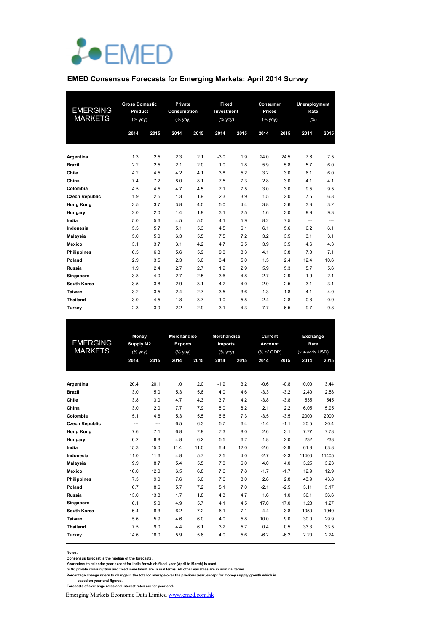

#### **EMED Consensus Forecasts for Emerging Markets: April 2014 Survey**

| <b>EMERGING</b><br><b>MARKETS</b> | <b>Gross Domestic</b><br>Product<br>(% yoy) |      | Private<br>Consumption<br>$(%$ yoy) |      | Fixed<br>Investment<br>(% yoy) |      | Consumer<br><b>Prices</b><br>(% |      | <b>Unemployment</b><br>Rate<br>(% ) |      |
|-----------------------------------|---------------------------------------------|------|-------------------------------------|------|--------------------------------|------|---------------------------------|------|-------------------------------------|------|
|                                   | 2014                                        | 2015 | 2014                                | 2015 | 2014                           | 2015 | 2014                            | 2015 | 2014                                | 2015 |
| Argentina                         | 1.3                                         | 2.5  | 2.3                                 | 2.1  | $-3.0$                         | 1.9  | 24.0                            | 24.5 | 7.6                                 | 7.5  |
| <b>Brazil</b>                     | 2.2                                         | 2.5  | 2.1                                 | 2.0  | 1.0                            | 1.8  | 5.9                             | 5.8  | 5.7                                 | 6.0  |
| Chile                             | 4.2                                         | 4.5  | 4.2                                 | 4.1  | 3.8                            | 5.2  | 3.2                             | 3.0  | 6.1                                 | 6.0  |
| China                             | 7.4                                         | 7.2  | 8.0                                 | 8.1  | 7.5                            | 7.3  | 2.8                             | 3.0  | 4.1                                 | 4.1  |
| Colombia                          | 4.5                                         | 4.5  | 4.7                                 | 4.5  | 7.1                            | 7.5  | 3.0                             | 3.0  | 9.5                                 | 9.5  |
| <b>Czech Republic</b>             | 1.9                                         | 2.5  | 1.3                                 | 1.9  | 2.3                            | 3.9  | 1.5                             | 2.0  | 7.5                                 | 6.8  |
| <b>Hong Kong</b>                  | 3.5                                         | 3.7  | 3.8                                 | 4.0  | 5.0                            | 4.4  | 3.8                             | 3.6  | 3.3                                 | 3.2  |
| Hungary                           | 2.0                                         | 2.0  | 1.4                                 | 1.9  | 3.1                            | 2.5  | 1.6                             | 3.0  | 9.9                                 | 9.3  |
| India                             | 5.0                                         | 5.6  | 4.5                                 | 5.5  | 4.1                            | 5.9  | 8.2                             | 7.5  | ---                                 | ---  |
| Indonesia                         | 5.5                                         | 5.7  | 5.1                                 | 5.3  | 4.5                            | 6.1  | 6.1                             | 5.6  | 6.2                                 | 6.1  |
| <b>Malaysia</b>                   | 5.0                                         | 5.0  | 6.3                                 | 5.5  | 7.5                            | 7.2  | 3.2                             | 3.5  | 3.1                                 | 3.1  |
| Mexico                            | 3.1                                         | 3.7  | 3.1                                 | 4.2  | 4.7                            | 6.5  | 3.9                             | 3.5  | 4.6                                 | 4.3  |
| <b>Philippines</b>                | 6.5                                         | 6.3  | 5.6                                 | 5.9  | 9.0                            | 8.3  | 4.1                             | 3.8  | 7.0                                 | 7.1  |
| Poland                            | 2.9                                         | 3.5  | 2.3                                 | 3.0  | 3.4                            | 5.0  | 1.5                             | 2.4  | 12.4                                | 10.6 |
| Russia                            | 1.9                                         | 2.4  | 2.7                                 | 2.7  | 1.9                            | 2.9  | 5.9                             | 5.3  | 5.7                                 | 5.6  |
| Singapore                         | 3.8                                         | 4.0  | 2.7                                 | 2.5  | 3.6                            | 4.8  | 2.7                             | 2.9  | 1.9                                 | 2.1  |
| South Korea                       | 3.5                                         | 3.8  | 2.9                                 | 3.1  | 4.2                            | 4.0  | 2.0                             | 2.5  | 3.1                                 | 3.1  |
| Taiwan                            | 3.2                                         | 3.5  | 2.4                                 | 2.7  | 3.5                            | 3.6  | 1.3                             | 1.8  | 4.1                                 | 4.0  |
| Thailand                          | 3.0                                         | 4.5  | 1.8                                 | 3.7  | 1.0                            | 5.5  | 2.4                             | 2.8  | 0.8                                 | 0.9  |
| Turkey                            | 2.3                                         | 3.9  | 2.2                                 | 2.9  | 3.1                            | 4.3  | 7.7                             | 6.5  | 9.7                                 | 9.8  |

|                       | Money            |                | <b>Merchandise</b> |           | <b>Merchandise</b> |      | Current        |        | Exchange        |       |
|-----------------------|------------------|----------------|--------------------|-----------|--------------------|------|----------------|--------|-----------------|-------|
| <b>EMERGING</b>       | <b>Supply M2</b> |                | <b>Exports</b>     |           | Imports            |      | <b>Account</b> |        | Rate            |       |
| <b>MARKETS</b>        |                  | (% yoy)        |                    | $(%$ yoy) | $(%$ yoy)          |      | (% of GDP)     |        | (vis-a-vis USD) |       |
|                       | 2014             | 2015           | 2014               | 2015      | 2014               | 2015 | 2014           | 2015   | 2014            | 2015  |
|                       |                  |                |                    |           |                    |      |                |        |                 |       |
| Argentina             | 20.4             | 20.1           | 1.0                | 2.0       | $-1.9$             | 3.2  | $-0.6$         | $-0.8$ | 10.00           | 13.44 |
| <b>Brazil</b>         | 13.0             | 15.0           | 5.3                | 5.6       | 4.0                | 4.6  | $-3.3$         | $-3.2$ | 2.40            | 2.58  |
| Chile                 | 13.8             | 13.0           | 4.7                | 4.3       | 3.7                | 4.2  | $-3.8$         | $-3.8$ | 535             | 545   |
| China                 | 13.0             | 12.0           | 7.7                | 7.9       | 8.0                | 8.2  | 2.1            | 2.2    | 6.05            | 5.95  |
| Colombia              | 15.1             | 14.6           | 5.3                | 5.5       | 6.6                | 7.3  | $-3.5$         | $-3.5$ | 2000            | 2000  |
| <b>Czech Republic</b> | $\overline{a}$   | $\overline{a}$ | 6.5                | 6.3       | 5.7                | 6.4  | $-1.4$         | $-1.1$ | 20.5            | 20.4  |
| <b>Hong Kong</b>      | 7.6              | 7.1            | 6.8                | 7.9       | 7.3                | 8.0  | 2.6            | 3.1    | 7.77            | 7.78  |
| Hungary               | 6.2              | 6.8            | 4.8                | 6.2       | 5.5                | 6.2  | 1.8            | 2.0    | 232             | 238   |
| India                 | 15.3             | 15.0           | 11.4               | 11.0      | 6.4                | 12.0 | $-2.6$         | $-2.9$ | 61.8            | 63.8  |
| Indonesia             | 11.0             | 11.6           | 4.8                | 5.7       | 2.5                | 4.0  | $-2.7$         | $-2.3$ | 11400           | 11405 |
| Malaysia              | 9.9              | 8.7            | 5.4                | 5.5       | 7.0                | 6.0  | 4.0            | 4.0    | 3.25            | 3.23  |
| <b>Mexico</b>         | 10.0             | 12.0           | 6.5                | 6.8       | 7.6                | 7.8  | $-1.7$         | $-1.7$ | 12.9            | 12.9  |
| <b>Philippines</b>    | 7.3              | 9.0            | 7.6                | 5.0       | 7.6                | 8.0  | 2.8            | 2.8    | 43.9            | 43.8  |
| Poland                | 6.7              | 8.6            | 5.7                | 7.2       | 5.1                | 7.0  | $-2.1$         | $-2.5$ | 3.11            | 3.17  |
| Russia                | 13.0             | 13.8           | 1.7                | 1.8       | 4.3                | 4.7  | 1.6            | 1.0    | 36.1            | 36.6  |
| Singapore             | 6.1              | 5.0            | 4.9                | 5.7       | 4.1                | 4.5  | 17.0           | 17.0   | 1.28            | 1.27  |
| South Korea           | 6.4              | 8.3            | 6.2                | 7.2       | 6.1                | 7.1  | 4.4            | 3.8    | 1050            | 1040  |
| Taiwan                | 5.6              | 5.9            | 4.6                | 6.0       | 4.0                | 5.8  | 10.0           | 9.0    | 30.0            | 29.9  |
| Thailand              | 7.5              | 9.0            | 4.4                | 6.1       | 3.2                | 5.7  | 0.4            | 0.5    | 33.3            | 33.5  |
| Turkey                | 14.6             | 18.0           | 5.9                | 5.6       | 4.0                | 5.6  | $-6.2$         | $-6.2$ | 2.20            | 2.24  |
|                       |                  |                |                    |           |                    |      |                |        |                 |       |

**Notes:** 

**Consensus forecast is the median of the forecasts.**

Year refers to calendar year except for India for which fiscal year (April to March) is used.<br>GDP, private consumption and fixed investment are in real terms. All other variables are in nominal terms.<br>Percentage change ref

Emerging Markets Economic Data Limited www.emed.com.hk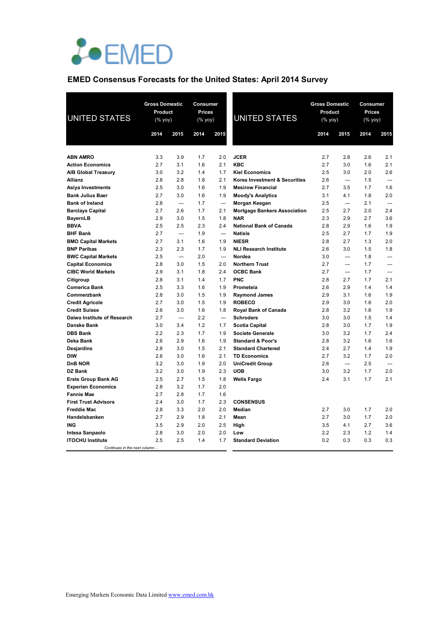

# **EMED Consensus Forecasts for the United States: April 2014 Survey**

| <b>UNITED STATES</b>                       |            | <b>Gross Domestic</b><br>Product<br>(% yoy) |            | Consumer<br><b>Prices</b><br>$(% \mathsf{Y}^{\prime }\mathsf{Y}^{\prime }\mathsf{Y}^{\prime })$ | <b>UNITED STATES</b>                              | <b>Gross Domestic</b><br>Product<br>$(% \mathsf{Y}^{\prime }\mathsf{Y}^{\prime }\mathsf{Y}^{\prime })$ |                          | Consumer<br><b>Prices</b><br>$(\%$ yoy) |                          |
|--------------------------------------------|------------|---------------------------------------------|------------|-------------------------------------------------------------------------------------------------|---------------------------------------------------|--------------------------------------------------------------------------------------------------------|--------------------------|-----------------------------------------|--------------------------|
|                                            | 2014       | 2015                                        | 2014       | 2015                                                                                            |                                                   | 2014                                                                                                   | 2015                     | 2014                                    | 2015                     |
|                                            |            |                                             |            |                                                                                                 |                                                   |                                                                                                        |                          |                                         |                          |
| <b>ABN AMRO</b>                            | 3.3        | 3.9                                         | 1.7        | 2.0                                                                                             | <b>JCER</b>                                       | 2.7                                                                                                    | 2.8                      | 2.6                                     | 2.1                      |
| <b>Action Economics</b>                    | 2.7        | 3.1                                         | 1.6        | 2.1                                                                                             | <b>KBC</b>                                        | 2.7                                                                                                    | 3.0                      | 1.6                                     | 2.1                      |
| <b>AIB Global Treasury</b>                 | 3.0        | 3.2                                         | 1.4        | 1.7                                                                                             | <b>Kiel Economics</b>                             | 2.5                                                                                                    | 3.0                      | 2.0                                     | 2.6                      |
| Allianz                                    | 2.8        | 2.8                                         | 1.8        | 2.1                                                                                             | Korea Investment & Securities                     | 2.6                                                                                                    | ---                      | 1.5                                     | $---$                    |
| <b>Asiya Investments</b>                   | 2.5        | 3.0                                         | 1.6        | 1.9                                                                                             | <b>Mesirow Financial</b>                          | 2.7                                                                                                    | 3.5                      | 1.7                                     | 1.6                      |
| <b>Bank Julius Baer</b>                    | 2.7        | 3.0                                         | 1.6        | 1.9                                                                                             | <b>Moody's Analytics</b>                          | 3.1                                                                                                    | 4.1                      | 1.8                                     | 2.0                      |
| <b>Bank of Ireland</b>                     | 2.8        | $\overline{\phantom{a}}$                    | 1.7        | $\overline{\phantom{a}}$                                                                        | Morgan Keegan                                     | 2.5                                                                                                    | $\overline{\phantom{a}}$ | 2.1                                     | $\overline{\phantom{a}}$ |
| <b>Barclays Capital</b>                    | 2.7<br>2.9 | 2.6<br>3.0                                  | 1.7<br>1.5 | 2.1<br>1.8                                                                                      | <b>Mortgage Bankers Association</b><br><b>NAR</b> | 2.5<br>2.3                                                                                             | 2.7<br>2.9               | 2.0<br>2.7                              | 2.4<br>3.6               |
| <b>BayernLB</b><br><b>BBVA</b>             | 2.5        | 2.5                                         | 2.3        | 2.4                                                                                             | <b>National Bank of Canada</b>                    | 2.8                                                                                                    | 2.9                      | 1.6                                     | 1.9                      |
| <b>BHF Bank</b>                            | 2.7        | $\overline{\phantom{a}}$                    | 1.9        | $\overline{\phantom{a}}$                                                                        | <b>Natixis</b>                                    | 2.5                                                                                                    | 2.7                      | 1.7                                     | 1.9                      |
| <b>BMO Capital Markets</b>                 | 2.7        | 3.1                                         | 1.6        | 1.9                                                                                             | <b>NIESR</b>                                      | 2.8                                                                                                    | 2.7                      | 1.3                                     | 2.0                      |
| <b>BNP Paribas</b>                         | 2.3        | 2.3                                         | 1.7        | 1.9                                                                                             | <b>NLI Research Institute</b>                     | 2.6                                                                                                    | 3.0                      | 1.5                                     | 1.8                      |
| <b>BWC Capital Markets</b>                 | 2.5        | $\overline{a}$                              | 2.0        | $\overline{\phantom{a}}$                                                                        | Nordea                                            | 3.0                                                                                                    | ---                      | 1.8                                     | $---$                    |
| <b>Capital Economics</b>                   | 2.8        | 3.0                                         | 1.5        | 2.0                                                                                             | <b>Northern Trust</b>                             | 2.7                                                                                                    | ---                      | 1.7                                     | $---$                    |
| <b>CIBC World Markets</b>                  | 2.9        | 3.1                                         | 1.8        | 2.4                                                                                             | <b>OCBC Bank</b>                                  | 2.7                                                                                                    | $\overline{\phantom{a}}$ | 1.7                                     | ---                      |
| Citigroup                                  | 2.8        | 3.1                                         | 1.4        | 1.7                                                                                             | <b>PNC</b>                                        | 2.8                                                                                                    | 2.7                      | 1.7                                     | 2.1                      |
| <b>Comerica Bank</b>                       | 2.5        | 3.3                                         | 1.6        | 1.9                                                                                             | Prometeia                                         | 2.6                                                                                                    | 2.9                      | 1.4                                     | 1.4                      |
| Commerzbank                                | 2.8        | 3.0                                         | 1.5        | 1.9                                                                                             | <b>Raymond James</b>                              | 2.9                                                                                                    | 3.1                      | 1.6                                     | 1.9                      |
| <b>Credit Agricole</b>                     | 2.7        | 3.0                                         | 1.5        | 1.9                                                                                             | <b>ROBECO</b>                                     | 2.9                                                                                                    | 3.0                      | 1.6                                     | 2.0                      |
| <b>Credit Suisse</b>                       | 2.6        | 3.0                                         | 1.6        | 1.8                                                                                             | Royal Bank of Canada                              | 2.8                                                                                                    | 3.2                      | 1.6                                     | 1.9                      |
| Daiwa Institute of Research                | 2.7        | $\overline{\phantom{a}}$                    | 2.2        | $\overline{\phantom{a}}$                                                                        | <b>Schroders</b>                                  | 3.0                                                                                                    | 3.0                      | 1.5                                     | 1.4                      |
| Danske Bank                                | 3.0        | 3.4                                         | 1.2        | 1.7                                                                                             | <b>Scotia Capital</b>                             | 2.8                                                                                                    | 3.0                      | 1.7                                     | 1.9                      |
| <b>DBS Bank</b>                            | 2.2        | 2.3                                         | 1.7        | 1.9                                                                                             | <b>Societe Generale</b>                           | 3.0                                                                                                    | 3.2                      | 1.7                                     | 2.4                      |
| Deka Bank                                  | 2.6        | 2.9                                         | 1.6        | 1.9                                                                                             | <b>Standard &amp; Poor's</b>                      | 2.8                                                                                                    | 3.2                      | 1.6                                     | 1.6                      |
| Desjardins                                 | 2.8        | 3.0                                         | 1.5        | 2.1                                                                                             | <b>Standard Chartered</b>                         | 2.4                                                                                                    | 2.7                      | 1.4                                     | 1.9                      |
| <b>DIW</b>                                 | 2.6        | 3.0                                         | 1.6        | 2.1                                                                                             | <b>TD Economics</b>                               | 2.7                                                                                                    | 3.2                      | 1.7                                     | 2.0                      |
| <b>DnB NOR</b>                             | 3.2        | 3.0                                         | 1.9        | 2.0                                                                                             | <b>UniCredit Group</b>                            | 2.6                                                                                                    | $\overline{\phantom{a}}$ | 2.5                                     | $\overline{\phantom{a}}$ |
| DZ Bank                                    | 3.2        | 3.0                                         | 1.9        | 2.3                                                                                             | <b>UOB</b>                                        | 3.0                                                                                                    | 3.2                      | 1.7                                     | 2.0                      |
| <b>Erste Group Bank AG</b>                 | 2.5        | 2.7                                         | 1.5        | 1.8                                                                                             | <b>Wells Fargo</b>                                | 2.4                                                                                                    | 3.1                      | 1.7                                     | 2.1                      |
| <b>Experian Economics</b>                  | 2.8        | 3.2                                         | 1.7        | 2.0                                                                                             |                                                   |                                                                                                        |                          |                                         |                          |
| <b>Fannie Mae</b>                          | 2.7        | 2.8                                         | 1.7        | 1.6                                                                                             |                                                   |                                                                                                        |                          |                                         |                          |
| <b>First Trust Advisors</b>                | 2.4        | 3.0                                         | 1.7        | 2.3                                                                                             | <b>CONSENSUS</b>                                  |                                                                                                        |                          |                                         |                          |
| <b>Freddie Mac</b>                         | 2.8        | 3.3                                         | 2.0        | 2.0                                                                                             | Median                                            | 2.7                                                                                                    | 3.0                      | 1.7                                     | 2.0                      |
| Handelsbanken                              | 2.7        | 2.9                                         | 1.8        | 2.1                                                                                             | Mean                                              | 2.7                                                                                                    | 3.0                      | 1.7                                     | 2.0                      |
| <b>ING</b>                                 | 3.5        | 2.9                                         | 2.0        | 2.5                                                                                             | High                                              | 3.5                                                                                                    | 4.1                      | 2.7                                     | 3.6                      |
| Intesa Sanpaolo<br><b>ITOCHU Institute</b> | 2.8<br>2.5 | 3.0<br>2.5                                  | 2.0<br>1.4 | 2.0<br>1.7                                                                                      | Low<br><b>Standard Deviation</b>                  | 2.2<br>0.2                                                                                             | 2.3<br>0.3               | 1.2<br>0.3                              | 1.4<br>0.3               |
| Continues in the next column               |            |                                             |            |                                                                                                 |                                                   |                                                                                                        |                          |                                         |                          |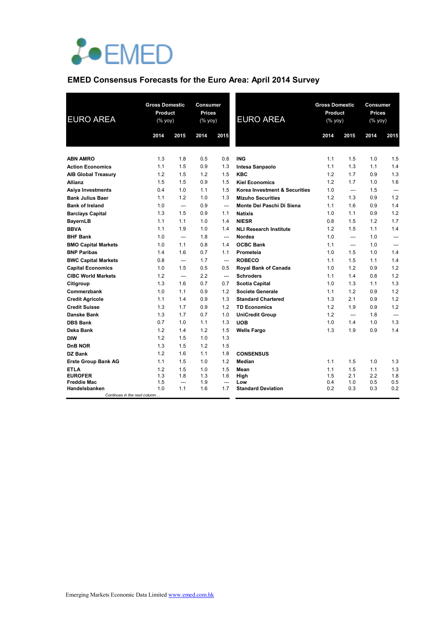

# **EMED Consensus Forecasts for the Euro Area: April 2014 Survey**

| <b>EURO AREA</b>                              |      | <b>Gross Domestic</b><br>Product<br>(% |      | <b>Consumer</b><br><b>Prices</b><br>(% | <b>EURO AREA</b>              | <b>Gross Domestic</b><br>Product<br>$(%$ yoy) |                | <b>Consumer</b><br><b>Prices</b><br>$(% \mathsf{y}\right)$ (% $\overline{\mathsf{y}\mathsf{y}}$ ) |                |
|-----------------------------------------------|------|----------------------------------------|------|----------------------------------------|-------------------------------|-----------------------------------------------|----------------|---------------------------------------------------------------------------------------------------|----------------|
|                                               | 2014 | 2015                                   | 2014 | 2015                                   |                               | 2014                                          | 2015           | 2014                                                                                              | 2015           |
|                                               |      |                                        |      |                                        |                               |                                               |                |                                                                                                   |                |
| <b>ABN AMRO</b>                               | 1.3  | 1.8                                    | 0.5  | 0.8                                    | <b>ING</b>                    | 1.1                                           | 1.5            | 1.0                                                                                               | 1.5            |
| <b>Action Economics</b>                       | 1.1  | 1.5                                    | 0.9  | 1.3                                    | <b>Intesa Sanpaolo</b>        | 1.1                                           | 1.3            | 1.1                                                                                               | 1.4            |
| <b>AIB Global Treasury</b>                    | 1.2  | 1.5                                    | 1.2  | 1.5                                    | <b>KBC</b>                    | 1.2                                           | 1.7            | 0.9                                                                                               | 1.3            |
| <b>Allianz</b>                                | 1.5  | 1.5                                    | 0.9  | 1.5                                    | <b>Kiel Economics</b>         | 1.2                                           | 1.7            | 1.0                                                                                               | 1.6            |
| <b>Asiya Investments</b>                      | 0.4  | 1.0                                    | 1.1  | 1.5                                    | Korea Investment & Securities | 1.0                                           | $\overline{a}$ | 1.5                                                                                               | $---$          |
| <b>Bank Julius Baer</b>                       | 1.1  | 1.2                                    | 1.0  | 1.3                                    | <b>Mizuho Securities</b>      | 1.2                                           | 1.3            | 0.9                                                                                               | 1.2            |
| <b>Bank of Ireland</b>                        | 1.0  | $\overline{\phantom{a}}$               | 0.9  | $\overline{\phantom{a}}$               | Monte Dei Paschi Di Siena     | 1.1                                           | 1.6            | 0.9                                                                                               | 1.4            |
| <b>Barclays Capital</b>                       | 1.3  | 1.5                                    | 0.9  | 1.1                                    | <b>Natixis</b>                | 1.0                                           | 1.1            | 0.9                                                                                               | 1.2            |
| <b>BayernLB</b>                               | 1.1  | 1.1                                    | 1.0  | 1.4                                    | <b>NIESR</b>                  | 0.8                                           | 1.5            | 1.2                                                                                               | 1.7            |
| <b>BBVA</b>                                   | 1.1  | 1.9                                    | 1.0  | 1.4                                    | <b>NLI Research Institute</b> | 1.2                                           | 1.5            | 1.1                                                                                               | 1.4            |
| <b>BHF Bank</b>                               | 1.0  | $\overline{\phantom{a}}$               | 1.8  | $\overline{\phantom{a}}$               | Nordea                        | 1.0                                           | $---$          | 1.0                                                                                               | $---$          |
| <b>BMO Capital Markets</b>                    | 1.0  | 1.1                                    | 0.8  | 1.4                                    | <b>OCBC Bank</b>              | 1.1                                           | $\overline{a}$ | 1.0                                                                                               | $\overline{a}$ |
| <b>BNP Paribas</b>                            | 1.4  | 1.6                                    | 0.7  | 1.1                                    | Prometeia                     | 1.0                                           | 1.5            | 1.0                                                                                               | 1.4            |
| <b>BWC Capital Markets</b>                    | 0.8  | $\overline{\phantom{a}}$               | 1.7  | $\overline{\phantom{a}}$               | <b>ROBECO</b>                 | 1.1                                           | 1.5            | 1.1                                                                                               | 1.4            |
| <b>Capital Economics</b>                      | 1.0  | 1.5                                    | 0.5  | 0.5                                    | Royal Bank of Canada          | 1.0                                           | 1.2            | 0.9                                                                                               | 1.2            |
| <b>CIBC World Markets</b>                     | 1.2  | $\overline{\phantom{a}}$               | 2.2  | $\overline{\phantom{a}}$               | <b>Schroders</b>              | 1.1                                           | 1.4            | 0.8                                                                                               | 1.2            |
| Citigroup                                     | 1.3  | 1.6                                    | 0.7  | 0.7                                    | <b>Scotia Capital</b>         | 1.0                                           | 1.3            | 1.1                                                                                               | 1.3            |
| Commerzbank                                   | 1.0  | 1.1                                    | 0.9  | 1.2                                    | <b>Societe Generale</b>       | 1.1                                           | 1.2            | 0.9                                                                                               | 1.2            |
| <b>Credit Agricole</b>                        | 1.1  | 1.4                                    | 0.9  | 1.3                                    | <b>Standard Chartered</b>     | 1.3                                           | 2.1            | 0.9                                                                                               | 1.2            |
| <b>Credit Suisse</b>                          | 1.3  | 1.7                                    | 0.9  | 1.2                                    | <b>TD Economics</b>           | 1.2                                           | 1.9            | 0.9                                                                                               | 1.2            |
| Danske Bank                                   | 1.3  | 1.7                                    | 0.7  | 1.0                                    | <b>UniCredit Group</b>        | 1.2                                           | ---            | 1.8                                                                                               | $\overline{a}$ |
| <b>DBS Bank</b>                               | 0.7  | 1.0                                    | 1.1  | 1.3                                    | <b>UOB</b>                    | 1.0                                           | 1.4            | 1.0                                                                                               | 1.3            |
| Deka Bank                                     | 1.2  | 1.4                                    | 1.2  | 1.5                                    | <b>Wells Fargo</b>            | 1.3                                           | 1.9            | 0.9                                                                                               | 1.4            |
| <b>DIW</b>                                    | 1.2  | 1.5                                    | 1.0  | 1.3                                    |                               |                                               |                |                                                                                                   |                |
| DnB NOR                                       | 1.3  | 1.5                                    | 1.2  | 1.5                                    |                               |                                               |                |                                                                                                   |                |
| DZ Bank                                       | 1.2  | 1.6                                    | 1.1  | 1.8                                    | <b>CONSENSUS</b>              |                                               |                |                                                                                                   |                |
| <b>Erste Group Bank AG</b>                    | 1.1  | 1.5                                    | 1.0  | 1.2                                    | <b>Median</b>                 | 1.1                                           | 1.5            | 1.0                                                                                               | 1.3            |
| <b>ETLA</b>                                   | 1.2  | 1.5                                    | 1.0  | 1.5                                    | Mean                          | 1.1                                           | 1.5            | 1.1                                                                                               | 1.3            |
| <b>EUROFER</b>                                | 1.3  | 1.8                                    | 1.3  | 1.6                                    | High                          | 1.5                                           | 2.1            | 2.2                                                                                               | 1.8            |
| <b>Freddie Mac</b>                            | 1.5  | $\overline{\phantom{a}}$               | 1.9  | $\overline{\phantom{a}}$               | Low                           | 0.4                                           | 1.0            | 0.5                                                                                               | 0.5            |
| Handelsbanken<br>Continues in the next column | 1.0  | 1.1                                    | 1.6  | 1.7                                    | <b>Standard Deviation</b>     | 0.2                                           | 0.3            | 0.3                                                                                               | 0.2            |
|                                               |      |                                        |      |                                        |                               |                                               |                |                                                                                                   |                |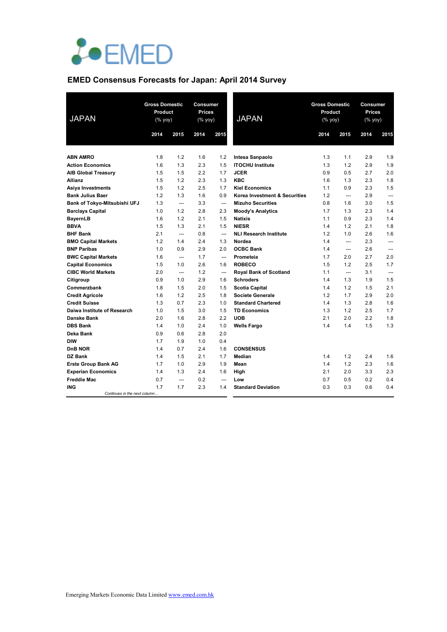

# **EMED Consensus Forecasts for Japan: April 2014 Survey**

| <b>JAPAN</b>                        | <b>Gross Domestic</b><br>Product<br>(% yoy) |                          | Consumer<br><b>Prices</b><br>$(\%$ yoy) |                | <b>JAPAN</b>                  | <b>Gross Domestic</b><br>Product<br>$(% \mathsf{Y}^{\prime }\mathsf{Y}^{\prime }\mathsf{Y}^{\prime })$ |       | Consumer<br><b>Prices</b><br>$(% \mathsf{Y}^{\prime }\mathsf{Y}^{\prime }\mathsf{Y}^{\prime })$ |                |
|-------------------------------------|---------------------------------------------|--------------------------|-----------------------------------------|----------------|-------------------------------|--------------------------------------------------------------------------------------------------------|-------|-------------------------------------------------------------------------------------------------|----------------|
|                                     | 2014                                        | 2015                     | 2014                                    | 2015           |                               | 2014                                                                                                   | 2015  | 2014                                                                                            | 2015           |
|                                     |                                             |                          |                                         |                |                               |                                                                                                        |       |                                                                                                 |                |
| <b>ABN AMRO</b>                     | 1.8                                         | 1.2                      | 1.6                                     | 1.2            | Intesa Sanpaolo               | 1.3                                                                                                    | 1.1   | 2.9                                                                                             | 1.9            |
| <b>Action Economics</b>             | 1.6                                         | 1.3                      | 2.3                                     | 1.5            | <b>ITOCHU Institute</b>       | 1.3                                                                                                    | 1.2   | 2.9                                                                                             | 1.9            |
| <b>AIB Global Treasury</b>          | 1.5                                         | 1.5                      | 2.2                                     | 1.7            | <b>JCER</b>                   | 0.9                                                                                                    | 0.5   | 2.7                                                                                             | 2.0            |
| <b>Allianz</b>                      | 1.5                                         | 1.2                      | 2.3                                     | 1.3            | <b>KBC</b>                    | 1.6                                                                                                    | 1.3   | 2.3                                                                                             | 1.8            |
| <b>Asiya Investments</b>            | 1.5                                         | 1.2                      | 2.5                                     | 1.7            | <b>Kiel Economics</b>         | 1.1                                                                                                    | 0.9   | 2.3                                                                                             | 1.5            |
| <b>Bank Julius Baer</b>             | 1.2                                         | 1.3                      | 1.6                                     | 0.9            | Korea Investment & Securities | 1.2                                                                                                    | $---$ | 2.9                                                                                             | $\overline{a}$ |
| Bank of Tokyo-Mitsubishi UFJ        | 1.3                                         | $\overline{\phantom{a}}$ | 3.3                                     | $\overline{a}$ | <b>Mizuho Securities</b>      | 0.8                                                                                                    | 1.6   | 3.0                                                                                             | 1.5            |
| <b>Barclays Capital</b>             | 1.0                                         | 1.2                      | 2.8                                     | 2.3            | <b>Moody's Analytics</b>      | 1.7                                                                                                    | 1.3   | 2.3                                                                                             | 1.4            |
| <b>BayernLB</b>                     | 1.6                                         | 1.2                      | 2.1                                     | 1.5            | <b>Natixis</b>                | 1.1                                                                                                    | 0.9   | 2.3                                                                                             | 1.4            |
| <b>BBVA</b>                         | 1.5                                         | 1.3                      | 2.1                                     | 1.5            | <b>NIESR</b>                  | 1.4                                                                                                    | 1.2   | 2.1                                                                                             | 1.8            |
| <b>BHF Bank</b>                     | 2.1                                         | $\overline{\phantom{a}}$ | 0.8                                     | $---$          | <b>NLI Research Institute</b> | 1.2                                                                                                    | 1.0   | 2.6                                                                                             | 1.6            |
| <b>BMO Capital Markets</b>          | 1.2                                         | 1.4                      | 2.4                                     | 1.3            | Nordea                        | 1.4                                                                                                    | $---$ | 2.3                                                                                             | $\overline{a}$ |
| <b>BNP Paribas</b>                  | 1.0                                         | 0.9                      | 2.9                                     | 2.0            | <b>OCBC Bank</b>              | 1.4                                                                                                    | $---$ | 2.6                                                                                             | ---            |
| <b>BWC Capital Markets</b>          | 1.6                                         | $---$                    | 1.7                                     | $---$          | Prometeia                     | 1.7                                                                                                    | 2.0   | 2.7                                                                                             | 2.0            |
| <b>Capital Economics</b>            | 1.5                                         | 1.0                      | 2.6                                     | 1.6            | <b>ROBECO</b>                 | 1.5                                                                                                    | 1.2   | 2.5                                                                                             | 1.7            |
| <b>CIBC World Markets</b>           | 2.0                                         | ---                      | 1.2                                     | ---            | <b>Royal Bank of Scotland</b> | 1.1                                                                                                    | $---$ | 3.1                                                                                             | $\overline{a}$ |
| Citigroup                           | 0.9                                         | 1.0                      | 2.9                                     | 1.6            | <b>Schroders</b>              | 1.4                                                                                                    | 1.3   | 1.9                                                                                             | 1.5            |
| Commerzbank                         | 1.8                                         | 1.5                      | 2.0                                     | 1.5            | <b>Scotia Capital</b>         | 1.4                                                                                                    | 1.2   | 1.5                                                                                             | 2.1            |
| <b>Credit Agricole</b>              | 1.6                                         | 1.2                      | 2.5                                     | 1.8            | <b>Societe Generale</b>       | 1.2                                                                                                    | 1.7   | 2.9                                                                                             | 2.0            |
| <b>Credit Suisse</b>                | 1.3                                         | 0.7                      | 2.3                                     | 1.0            | <b>Standard Chartered</b>     | 1.4                                                                                                    | 1.3   | 2.8                                                                                             | 1.6            |
| Daiwa Institute of Research         | 1.0                                         | 1.5                      | 3.0                                     | 1.5            | <b>TD Economics</b>           | 1.3                                                                                                    | 1.2   | 2.5                                                                                             | 1.7            |
| Danske Bank                         | 2.0                                         | 1.6                      | 2.8                                     | 2.2            | <b>UOB</b>                    | 2.1                                                                                                    | 2.0   | 2.2                                                                                             | 1.8            |
| <b>DBS Bank</b>                     | 1.4                                         | 1.0                      | 2.4                                     | 1.0            | <b>Wells Fargo</b>            | 1.4                                                                                                    | 1.4   | 1.5                                                                                             | 1.3            |
| Deka Bank                           | 0.9                                         | 0.6                      | 2.8                                     | 2.0            |                               |                                                                                                        |       |                                                                                                 |                |
| <b>DIW</b>                          | 1.7                                         | 1.9                      | 1.0                                     | 0.4            |                               |                                                                                                        |       |                                                                                                 |                |
| DnB NOR                             | 1.4                                         | 0.7                      | 2.4                                     | 1.6            | <b>CONSENSUS</b>              |                                                                                                        |       |                                                                                                 |                |
| DZ Bank                             | 1.4                                         | 1.5                      | 2.1                                     | 1.7            | Median                        | 1.4                                                                                                    | 1.2   | 2.4                                                                                             | 1.6            |
| <b>Erste Group Bank AG</b>          | 1.7                                         | 1.0                      | 2.9                                     | 1.9            | Mean                          | 1.4                                                                                                    | 1.2   | 2.3                                                                                             | 1.6            |
| <b>Experian Economics</b>           | 1.4                                         | 1.3                      | 2.4                                     | 1.6            | High                          | 2.1                                                                                                    | 2.0   | 3.3                                                                                             | 2.3            |
| <b>Freddie Mac</b>                  | 0.7                                         | ---                      | 0.2                                     | $\overline{a}$ | Low                           | 0.7                                                                                                    | 0.5   | 0.2                                                                                             | 0.4            |
| ING<br>Continues in the next column | 1.7                                         | 1.7                      | 2.3                                     | 1.4            | <b>Standard Deviation</b>     | 0.3                                                                                                    | 0.3   | 0.6                                                                                             | 0.4            |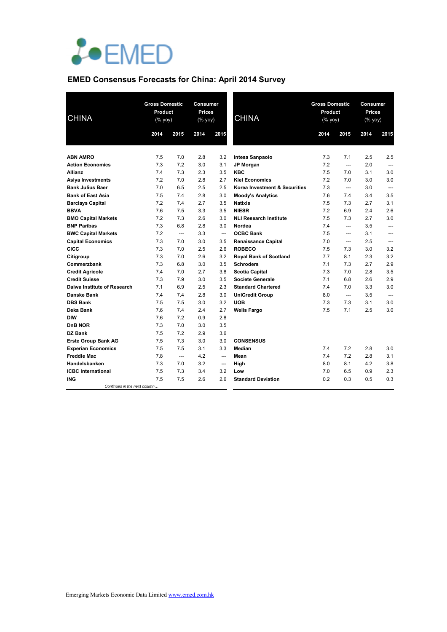

# **EMED Consensus Forecasts for China: April 2014 Survey**

| <b>CHINA</b>                                                                                                                                                                                                                                                                                                                                                                                                                                                                                                           |      | <b>Gross Domestic</b><br>Product<br>$(\%$ yoy) |      | Consumer<br><b>Prices</b><br>(% yoy) | <b>CHINA</b>                  | <b>Gross Domestic</b><br>Product<br>(% yoy) |       | Consumer<br><b>Prices</b><br>$(% \mathsf{Y}\rightarrow \mathsf{Y})$ (% yoy) |                          |
|------------------------------------------------------------------------------------------------------------------------------------------------------------------------------------------------------------------------------------------------------------------------------------------------------------------------------------------------------------------------------------------------------------------------------------------------------------------------------------------------------------------------|------|------------------------------------------------|------|--------------------------------------|-------------------------------|---------------------------------------------|-------|-----------------------------------------------------------------------------|--------------------------|
| <b>ABN AMRO</b><br><b>Action Economics</b><br><b>Allianz</b><br>Asiya Investments<br><b>Bank Julius Baer</b><br><b>Bank of East Asia</b><br><b>Barclays Capital</b><br><b>BBVA</b><br><b>BMO Capital Markets</b><br><b>BNP Paribas</b><br><b>BWC Capital Markets</b><br><b>Capital Economics</b><br>CICC<br>Citigroup<br>Commerzbank<br><b>Credit Agricole</b><br><b>Credit Suisse</b><br>Daiwa Institute of Research<br>Danske Bank<br><b>DBS Bank</b><br>Deka Bank<br><b>DIW</b><br><b>DnB NOR</b><br><b>DZ Bank</b> | 2014 | 2015                                           | 2014 | 2015                                 |                               | 2014                                        | 2015  | 2014                                                                        | 2015                     |
|                                                                                                                                                                                                                                                                                                                                                                                                                                                                                                                        | 7.5  | 7.0                                            | 2.8  | 3.2                                  | Intesa Sanpaolo               | 7.3                                         | 7.1   | 2.5                                                                         | 2.5                      |
|                                                                                                                                                                                                                                                                                                                                                                                                                                                                                                                        | 7.3  | 7.2                                            | 3.0  | 3.1                                  | <b>JP Morgan</b>              | 7.2                                         | $---$ | 2.0                                                                         | $\overline{a}$           |
|                                                                                                                                                                                                                                                                                                                                                                                                                                                                                                                        | 7.4  | 7.3                                            | 2.3  | 3.5                                  | <b>KBC</b>                    | 7.5                                         | 7.0   | 3.1                                                                         | 3.0                      |
|                                                                                                                                                                                                                                                                                                                                                                                                                                                                                                                        | 7.2  | 7.0                                            | 2.8  | 2.7                                  | <b>Kiel Economics</b>         | 7.2                                         | 7.0   | 3.0                                                                         | 3.0                      |
|                                                                                                                                                                                                                                                                                                                                                                                                                                                                                                                        | 7.0  | 6.5                                            | 2.5  | 2.5                                  | Korea Investment & Securities | 7.3                                         | $---$ | 3.0                                                                         | $\overline{a}$           |
|                                                                                                                                                                                                                                                                                                                                                                                                                                                                                                                        | 7.5  | 7.4                                            | 2.8  | 3.0                                  | <b>Moody's Analytics</b>      | 7.6                                         | 7.4   | 3.4                                                                         | 3.5                      |
|                                                                                                                                                                                                                                                                                                                                                                                                                                                                                                                        | 7.2  | 7.4                                            | 2.7  | 3.5                                  | <b>Natixis</b>                | 7.5                                         | 7.3   | 2.7                                                                         | 3.1                      |
|                                                                                                                                                                                                                                                                                                                                                                                                                                                                                                                        | 7.6  | 7.5                                            | 3.3  | 3.5                                  | <b>NIESR</b>                  | 7.2                                         | 6.9   | 2.4                                                                         | 2.6                      |
|                                                                                                                                                                                                                                                                                                                                                                                                                                                                                                                        | 7.2  | 7.3                                            | 2.6  | 3.0                                  | <b>NLI Research Institute</b> | 7.5                                         | 7.3   | 2.7                                                                         | 3.0                      |
|                                                                                                                                                                                                                                                                                                                                                                                                                                                                                                                        | 7.3  | 6.8                                            | 2.8  | 3.0                                  | Nordea                        | 7.4                                         | ---   | 3.5                                                                         | ---                      |
|                                                                                                                                                                                                                                                                                                                                                                                                                                                                                                                        | 7.2  | $---$                                          | 3.3  | $---$                                | <b>OCBC Bank</b>              | 7.5                                         | $---$ | 3.1                                                                         | $---$                    |
|                                                                                                                                                                                                                                                                                                                                                                                                                                                                                                                        | 7.3  | 7.0                                            | 3.0  | 3.5                                  | <b>Renaissance Capital</b>    | 7.0                                         | $---$ | 2.5                                                                         | $---$                    |
|                                                                                                                                                                                                                                                                                                                                                                                                                                                                                                                        | 7.3  | 7.0                                            | 2.5  | 2.6                                  | <b>ROBECO</b>                 | 7.5                                         | 7.3   | 3.0                                                                         | 3.2                      |
|                                                                                                                                                                                                                                                                                                                                                                                                                                                                                                                        | 7.3  | 7.0                                            | 2.6  | 3.2                                  | <b>Royal Bank of Scotland</b> | 7.7                                         | 8.1   | 2.3                                                                         | 3.2                      |
|                                                                                                                                                                                                                                                                                                                                                                                                                                                                                                                        | 7.3  | 6.8                                            | 3.0  | 3.5                                  | <b>Schroders</b>              | 7.1                                         | 7.3   | 2.7                                                                         | 2.9                      |
|                                                                                                                                                                                                                                                                                                                                                                                                                                                                                                                        | 7.4  | 7.0                                            | 2.7  | 3.8                                  | Scotia Capital                | 7.3                                         | 7.0   | 2.8                                                                         | 3.5                      |
|                                                                                                                                                                                                                                                                                                                                                                                                                                                                                                                        | 7.3  | 7.9                                            | 3.0  | 3.5                                  | Societe Generale              | 7.1                                         | 6.8   | 2.6                                                                         | 2.9                      |
|                                                                                                                                                                                                                                                                                                                                                                                                                                                                                                                        | 7.1  | 6.9                                            | 2.5  | 2.3                                  | <b>Standard Chartered</b>     | 7.4                                         | 7.0   | 3.3                                                                         | 3.0                      |
|                                                                                                                                                                                                                                                                                                                                                                                                                                                                                                                        | 7.4  | 7.4                                            | 2.8  | 3.0                                  | <b>UniCredit Group</b>        | 8.0                                         | $---$ | 3.5                                                                         | $\overline{\phantom{a}}$ |
|                                                                                                                                                                                                                                                                                                                                                                                                                                                                                                                        | 7.5  | 7.5                                            | 3.0  | 3.2                                  | <b>UOB</b>                    | 7.3                                         | 7.3   | 3.1                                                                         | 3.0                      |
|                                                                                                                                                                                                                                                                                                                                                                                                                                                                                                                        | 7.6  | 7.4                                            | 2.4  | 2.7                                  | <b>Wells Fargo</b>            | 7.5                                         | 7.1   | 2.5                                                                         | 3.0                      |
|                                                                                                                                                                                                                                                                                                                                                                                                                                                                                                                        | 7.6  | 7.2                                            | 0.9  | 2.8                                  |                               |                                             |       |                                                                             |                          |
|                                                                                                                                                                                                                                                                                                                                                                                                                                                                                                                        | 7.3  | 7.0                                            | 3.0  | 3.5                                  |                               |                                             |       |                                                                             |                          |
|                                                                                                                                                                                                                                                                                                                                                                                                                                                                                                                        | 7.5  | 7.2                                            | 2.9  | 3.6                                  |                               |                                             |       |                                                                             |                          |
| <b>Erste Group Bank AG</b>                                                                                                                                                                                                                                                                                                                                                                                                                                                                                             | 7.5  | 7.3                                            | 3.0  | 3.0                                  | <b>CONSENSUS</b>              |                                             |       |                                                                             |                          |
| <b>Experian Economics</b>                                                                                                                                                                                                                                                                                                                                                                                                                                                                                              | 7.5  | 7.5                                            | 3.1  | 3.3                                  | Median                        | 7.4                                         | 7.2   | 2.8                                                                         | 3.0                      |
| <b>Freddie Mac</b>                                                                                                                                                                                                                                                                                                                                                                                                                                                                                                     | 7.8  | ---                                            | 4.2  | $---$                                | Mean                          | 7.4                                         | 7.2   | 2.8                                                                         | 3.1                      |
| Handelsbanken                                                                                                                                                                                                                                                                                                                                                                                                                                                                                                          | 7.3  | 7.0                                            | 3.2  | $---$                                | High                          | 8.0                                         | 8.1   | 4.2                                                                         | 3.8                      |
| <b>ICBC</b> International                                                                                                                                                                                                                                                                                                                                                                                                                                                                                              | 7.5  | 7.3                                            | 3.4  | 3.2                                  | Low                           | 7.0                                         | 6.5   | 0.9                                                                         | 2.3                      |
| ING                                                                                                                                                                                                                                                                                                                                                                                                                                                                                                                    | 7.5  | 7.5                                            | 2.6  | 2.6                                  | <b>Standard Deviation</b>     | 0.2                                         | 0.3   | 0.5                                                                         | 0.3                      |
| Continues in the next column.                                                                                                                                                                                                                                                                                                                                                                                                                                                                                          |      |                                                |      |                                      |                               |                                             |       |                                                                             |                          |